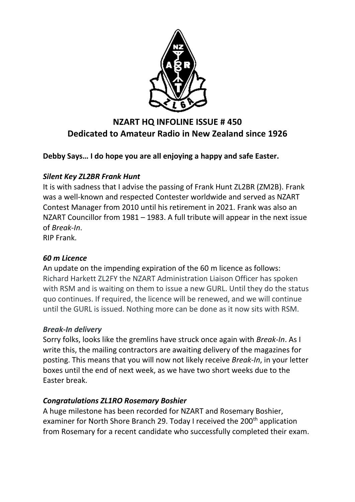

# **NZART HQ INFOLINE ISSUE # 450 Dedicated to Amateur Radio in New Zealand since 1926**

**Debby Says… I do hope you are all enjoying a happy and safe Easter.**

## *Silent Key ZL2BR Frank Hunt*

It is with sadness that I advise the passing of Frank Hunt ZL2BR (ZM2B). Frank was a well-known and respected Contester worldwide and served as NZART Contest Manager from 2010 until his retirement in 2021. Frank was also an NZART Councillor from 1981 – 1983. A full tribute will appear in the next issue of *Break-In*.

RIP Frank.

#### *60 m Licence*

An update on the impending expiration of the 60 m licence as follows: Richard Harkett ZL2FY the NZART Administration Liaison Officer has spoken with RSM and is waiting on them to issue a new GURL. Until they do the status quo continues. If required, the licence will be renewed, and we will continue until the GURL is issued. Nothing more can be done as it now sits with RSM.

#### *Break-In delivery*

Sorry folks, looks like the gremlins have struck once again with *Break-In*. As I write this, the mailing contractors are awaiting delivery of the magazines for posting. This means that you will now not likely receive *Break-In*, in your letter boxes until the end of next week, as we have two short weeks due to the Easter break.

## *Congratulations ZL1RO Rosemary Boshier*

A huge milestone has been recorded for NZART and Rosemary Boshier, examiner for North Shore Branch 29. Today I received the 200<sup>th</sup> application from Rosemary for a recent candidate who successfully completed their exam.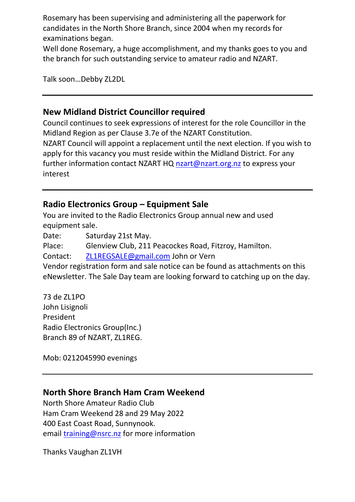Rosemary has been supervising and administering all the paperwork for candidates in the North Shore Branch, since 2004 when my records for examinations began.

Well done Rosemary, a huge accomplishment, and my thanks goes to you and the branch for such outstanding service to amateur radio and NZART.

Talk soon…Debby ZL2DL

## **New Midland District Councillor required**

Council continues to seek expressions of interest for the role Councillor in the Midland Region as per Clause 3.7e of the NZART Constitution. NZART Council will appoint a replacement until the next election. If you wish to apply for this vacancy you must reside within the Midland District. For any further information contact NZART HQ [nzart@nzart.org.nz](mailto:nzart@nzart.org.nz) to express your interest

## **Radio Electronics Group – Equipment Sale**

You are invited to the Radio Electronics Group annual new and used equipment sale.

Date: Saturday 21st May.

Place: Glenview Club, 211 Peacockes Road, Fitzroy, Hamilton.

Contact: [ZL1REGSALE@gmail.com](mailto:ZL1REGSALE@gmail.com) John or Vern

Vendor registration form and sale notice can be found as attachments on this eNewsletter. The Sale Day team are looking forward to catching up on the day.

73 de ZL1PO John Lisignoli President Radio Electronics Group(Inc.) Branch 89 of NZART, ZL1REG.

Mob: 0212045990 evenings

## **North Shore Branch Ham Cram Weekend**

North Shore Amateur Radio Club Ham Cram Weekend 28 and 29 May 2022 400 East Coast Road, Sunnynook. email [training@nsrc.nz](mailto:training@nsrc.nz) for more information

Thanks Vaughan ZL1VH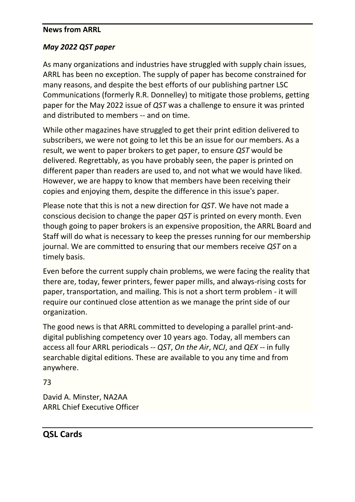#### **News from ARRL**

## *May 2022 QST paper*

As many organizations and industries have struggled with supply chain issues, ARRL has been no exception. The supply of paper has become constrained for many reasons, and despite the best efforts of our publishing partner LSC Communications (formerly R.R. Donnelley) to mitigate those problems, getting paper for the May 2022 issue of *QST* was a challenge to ensure it was printed and distributed to members -- and on time.

While other magazines have struggled to get their print edition delivered to subscribers, we were not going to let this be an issue for our members. As a result, we went to paper brokers to get paper, to ensure *QST* would be delivered. Regrettably, as you have probably seen, the paper is printed on different paper than readers are used to, and not what we would have liked. However, we are happy to know that members have been receiving their copies and enjoying them, despite the difference in this issue's paper.

Please note that this is not a new direction for *QST*. We have not made a conscious decision to change the paper *QST* is printed on every month. Even though going to paper brokers is an expensive proposition, the ARRL Board and Staff will do what is necessary to keep the presses running for our membership journal. We are committed to ensuring that our members receive *QST* on a timely basis.

Even before the current supply chain problems, we were facing the reality that there are, today, fewer printers, fewer paper mills, and always-rising costs for paper, transportation, and mailing. This is not a short term problem - it will require our continued close attention as we manage the print side of our organization.

The good news is that ARRL committed to developing a parallel print-anddigital publishing competency over 10 years ago. Today, all members can access all four ARRL periodicals -- *QST*, *On the Air*, *NCJ*, and *QEX* -- in fully searchable digital editions. These are available to you any time and from anywhere.

73

David A. Minster, NA2AA ARRL Chief Executive Officer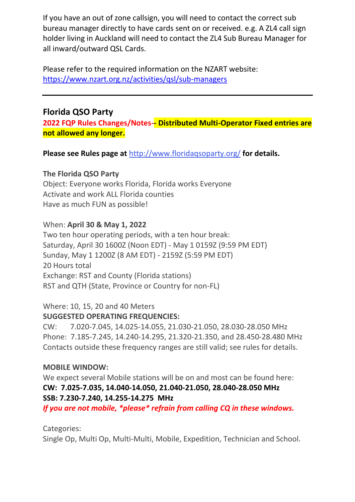If you have an out of zone callsign, you will need to contact the correct sub bureau manager directly to have cards sent on or received. e.g. A ZL4 call sign holder living in Auckland will need to contact the ZL4 Sub Bureau Manager for all inward/outward QSL Cards.

Please refer to the required information on the NZART website: <https://www.nzart.org.nz/activities/qsl/sub-managers>

## **Florida QSO Party**

**2022 FQP Rules Changes/Notes-- Distributed Multi-Operator Fixed entries are not allowed any longer.**

**Please see Rules page at** <http://www.floridaqsoparty.org/> **for details.**

#### **The Florida QSO Party**

Object: Everyone works Florida, Florida works Everyone Activate and work ALL Florida counties Have as much FUN as possible!

## When: **April 30 & May 1, 2022**

Two ten hour operating periods, with a ten hour break: Saturday, April 30 1600Z (Noon EDT) - May 1 0159Z (9:59 PM EDT) Sunday, May 1 1200Z (8 AM EDT) - 2159Z (5:59 PM EDT) 20 Hours total Exchange: RST and County (Florida stations) RST and QTH (State, Province or Country for non-FL)

## Where: 10, 15, 20 and 40 Meters **SUGGESTED OPERATING FREQUENCIES:**

CW: 7.020-7.045, 14.025-14.055, 21.030-21.050, 28.030-28.050 MHz Phone: 7.185-7.245, 14.240-14.295, 21.320-21.350, and 28.450-28.480 MHz Contacts outside these frequency ranges are still valid; see rules for details.

#### **MOBILE WINDOW:**

We expect several Mobile stations will be on and most can be found here: **CW: 7.025-7.035, 14.040-14.050, 21.040-21.050, 28.040-28.050 MHz SSB: 7.230-7.240, 14.255-14.275 MHz**

*If you are not mobile, \*please\* refrain from calling CQ in these windows.*

Categories:

Single Op, Multi Op, Multi-Multi, Mobile, Expedition, Technician and School.